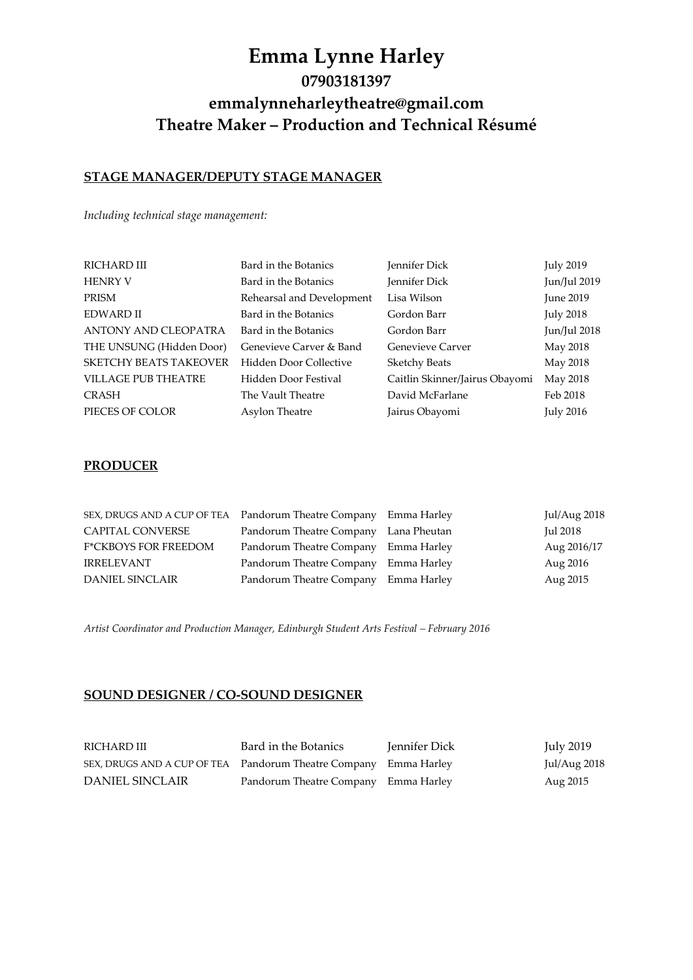# **Emma Lynne Harley 07903181397 emmalynneharleytheatre@gmail.com Theatre Maker – Production and Technical Résumé**

# **STAGE MANAGER/DEPUTY STAGE MANAGER**

*Including technical stage management:*

| RICHARD III                   | Bard in the Botanics      | Jennifer Dick                  | <b>July 2019</b> |
|-------------------------------|---------------------------|--------------------------------|------------------|
| <b>HENRY V</b>                | Bard in the Botanics      | Jennifer Dick                  | Jun/Jul 2019     |
| PRISM                         | Rehearsal and Development | Lisa Wilson                    | June 2019        |
| <b>EDWARD II</b>              | Bard in the Botanics      | Gordon Barr                    | July 2018        |
| ANTONY AND CLEOPATRA          | Bard in the Botanics      | Gordon Barr                    | Jun/Jul 2018     |
| THE UNSUNG (Hidden Door)      | Genevieve Carver & Band   | Genevieve Carver               | May 2018         |
| <b>SKETCHY BEATS TAKEOVER</b> | Hidden Door Collective    | <b>Sketchy Beats</b>           | May 2018         |
| <b>VILLAGE PUB THEATRE</b>    | Hidden Door Festival      | Caitlin Skinner/Jairus Obayomi | May 2018         |
| <b>CRASH</b>                  | The Vault Theatre         | David McFarlane                | Feb 2018         |
| PIECES OF COLOR               | Asylon Theatre            | Jairus Obayomi                 | <b>July 2016</b> |
|                               |                           |                                |                  |

### **PRODUCER**

| SEX, DRUGS AND A CUP OF TEA Pandorum Theatre Company Emma Harley |                                       | Jul/Aug 2018 |
|------------------------------------------------------------------|---------------------------------------|--------------|
| CAPITAL CONVERSE                                                 | Pandorum Theatre Company Lana Pheutan | Jul 2018     |
| <b>F*CKBOYS FOR FREEDOM</b>                                      | Pandorum Theatre Company Emma Harley  | Aug 2016/17  |
| <b>IRRELEVANT</b>                                                | Pandorum Theatre Company Emma Harley  | Aug 2016     |
| <b>DANIEL SINCLAIR</b>                                           | Pandorum Theatre Company Emma Harley  | Aug 2015     |

Artist Coordinator and Production Manager, Edinburgh Student Arts Festival - February 2016

## **SOUND DESIGNER / CO-SOUND DESIGNER**

| RICHARD III                                                      | Bard in the Botanics                 | Jennifer Dick | July 2019      |
|------------------------------------------------------------------|--------------------------------------|---------------|----------------|
| SEX, DRUGS AND A CUP OF TEA Pandorum Theatre Company Emma Harley |                                      |               | Jul/Aug $2018$ |
| DANIEL SINCLAIR                                                  | Pandorum Theatre Company Emma Harley |               | Aug 2015       |